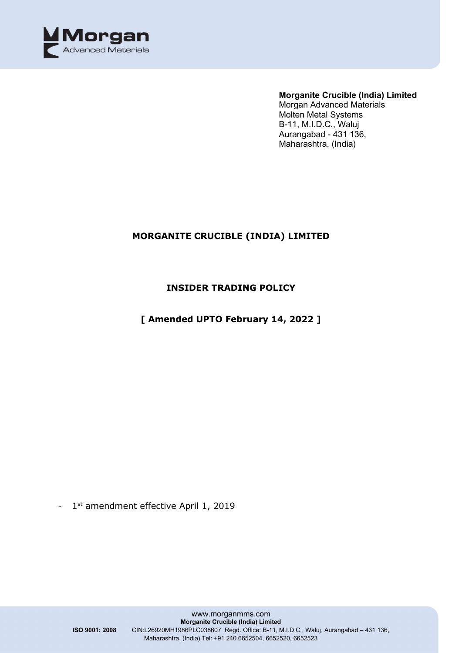

### **Morganite Crucible (India) Limited**

Morgan Advanced Materials Molten Metal Systems B-11, M.I.D.C., Waluj Aurangabad - 431 136, Maharashtra, (India)

### **MORGANITE CRUCIBLE (INDIA) LIMITED**

### **INSIDER TRADING POLICY**

**[ Amended UPTO February 14, 2022 ]**

- 1st amendment effective April 1, 2019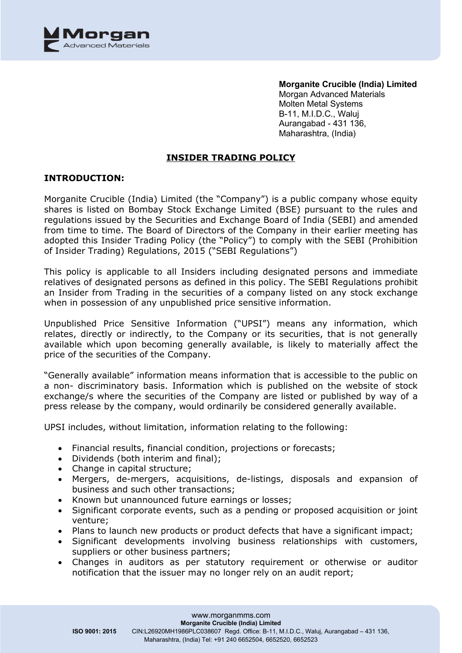

**Morganite Crucible (India) Limited** Morgan Advanced Materials Molten Metal Systems B-11, M.I.D.C., Waluj Aurangabad - 431 136, Maharashtra, (India)

### **INSIDER TRADING POLICY**

### **INTRODUCTION:**

Morganite Crucible (India) Limited (the "Company") is a public company whose equity shares is listed on Bombay Stock Exchange Limited (BSE) pursuant to the rules and regulations issued by the Securities and Exchange Board of India (SEBI) and amended from time to time. The Board of Directors of the Company in their earlier meeting has adopted this Insider Trading Policy (the "Policy") to comply with the SEBI (Prohibition of Insider Trading) Regulations, 2015 ("SEBI Regulations")

This policy is applicable to all Insiders including designated persons and immediate relatives of designated persons as defined in this policy. The SEBI Regulations prohibit an Insider from Trading in the securities of a company listed on any stock exchange when in possession of any unpublished price sensitive information.

Unpublished Price Sensitive Information ("UPSI") means any information, which relates, directly or indirectly, to the Company or its securities, that is not generally available which upon becoming generally available, is likely to materially affect the price of the securities of the Company.

"Generally available" information means information that is accessible to the public on a non- discriminatory basis. Information which is published on the website of stock exchange/s where the securities of the Company are listed or published by way of a press release by the company, would ordinarily be considered generally available.

UPSI includes, without limitation, information relating to the following:

- Financial results, financial condition, projections or forecasts;
- Dividends (both interim and final);
- Change in capital structure;
- Mergers, de-mergers, acquisitions, de-listings, disposals and expansion of business and such other transactions;
- Known but unannounced future earnings or losses;
- Significant corporate events, such as a pending or proposed acquisition or joint venture;
- Plans to launch new products or product defects that have a significant impact;
- Significant developments involving business relationships with customers, suppliers or other business partners;
- Changes in auditors as per statutory requirement or otherwise or auditor notification that the issuer may no longer rely on an audit report;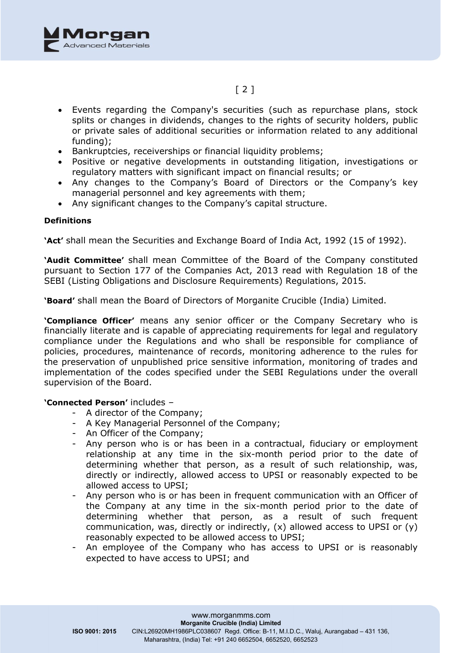

# $[2]$

- Events regarding the Company's securities (such as repurchase plans, stock splits or changes in dividends, changes to the rights of security holders, public or private sales of additional securities or information related to any additional funding);
- Bankruptcies, receiverships or financial liquidity problems;
- Positive or negative developments in outstanding litigation, investigations or regulatory matters with significant impact on financial results; or
- Any changes to the Company's Board of Directors or the Company's key managerial personnel and key agreements with them;
- Any significant changes to the Company's capital structure.

#### **Definitions**

**'Act'** shall mean the Securities and Exchange Board of India Act, 1992 (15 of 1992).

**'Audit Committee'** shall mean Committee of the Board of the Company constituted pursuant to Section 177 of the Companies Act, 2013 read with Regulation 18 of the SEBI (Listing Obligations and Disclosure Requirements) Regulations, 2015.

**'Board'** shall mean the Board of Directors of Morganite Crucible (India) Limited.

**'Compliance Officer'** means any senior officer or the Company Secretary who is financially literate and is capable of appreciating requirements for legal and regulatory compliance under the Regulations and who shall be responsible for compliance of policies, procedures, maintenance of records, monitoring adherence to the rules for the preservation of unpublished price sensitive information, monitoring of trades and implementation of the codes specified under the SEBI Regulations under the overall supervision of the Board.

### **'Connected Person'** includes –

- A director of the Company;
- A Key Managerial Personnel of the Company;
- An Officer of the Company;
- Any person who is or has been in a contractual, fiduciary or employment relationship at any time in the six-month period prior to the date of determining whether that person, as a result of such relationship, was, directly or indirectly, allowed access to UPSI or reasonably expected to be allowed access to UPSI;
- Any person who is or has been in frequent communication with an Officer of the Company at any time in the six-month period prior to the date of determining whether that person, as a result of such frequent communication, was, directly or indirectly,  $(x)$  allowed access to UPSI or  $(y)$ reasonably expected to be allowed access to UPSI;
- An employee of the Company who has access to UPSI or is reasonably expected to have access to UPSI; and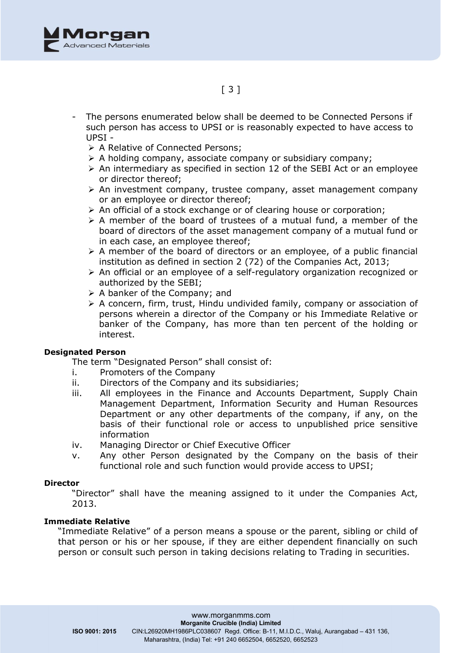

- The persons enumerated below shall be deemed to be Connected Persons if such person has access to UPSI or is reasonably expected to have access to UPSI -
	- > A Relative of Connected Persons;
	- $\triangleright$  A holding company, associate company or subsidiary company;
	- $\triangleright$  An intermediary as specified in section 12 of the SEBI Act or an employee or director thereof;
	- $\triangleright$  An investment company, trustee company, asset management company or an employee or director thereof;
	- $\triangleright$  An official of a stock exchange or of clearing house or corporation;
	- $\triangleright$  A member of the board of trustees of a mutual fund, a member of the board of directors of the asset management company of a mutual fund or in each case, an employee thereof;
	- $\triangleright$  A member of the board of directors or an employee, of a public financial institution as defined in section 2 (72) of the Companies Act, 2013;
	- $\triangleright$  An official or an employee of a self-regulatory organization recognized or authorized by the SEBI;
	- $\triangleright$  A banker of the Company; and
	- $\triangleright$  A concern, firm, trust, Hindu undivided family, company or association of persons wherein a director of the Company or his Immediate Relative or banker of the Company, has more than ten percent of the holding or interest.

### **Designated Person**

The term "Designated Person" shall consist of:

- i. Promoters of the Company
- ii. Directors of the Company and its subsidiaries;
- iii. All employees in the Finance and Accounts Department, Supply Chain Management Department, Information Security and Human Resources Department or any other departments of the company, if any, on the basis of their functional role or access to unpublished price sensitive information
- iv. Managing Director or Chief Executive Officer
- v. Any other Person designated by the Company on the basis of their functional role and such function would provide access to UPSI;

#### **Director**

"Director" shall have the meaning assigned to it under the Companies Act, 2013.

#### **Immediate Relative**

"Immediate Relative" of a person means a spouse or the parent, sibling or child of that person or his or her spouse, if they are either dependent financially on such person or consult such person in taking decisions relating to Trading in securities.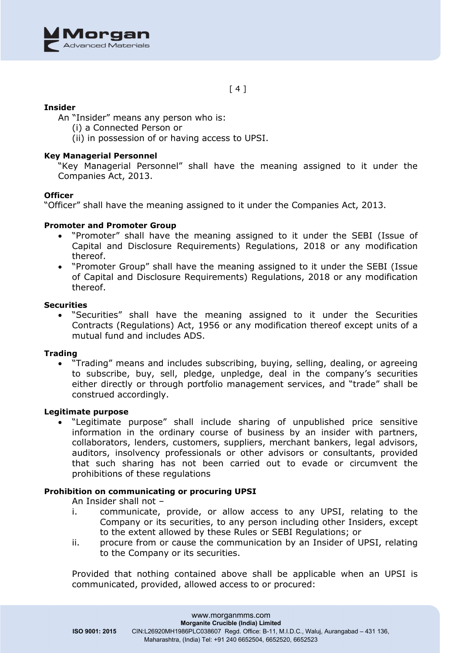

 $[4]$ 

### **Insider**

An "Insider" means any person who is:

- (i) a Connected Person or
- (ii) in possession of or having access to UPSI.

### **Key Managerial Personnel**

"Key Managerial Personnel" shall have the meaning assigned to it under the Companies Act, 2013.

#### **Officer**

"Officer" shall have the meaning assigned to it under the Companies Act, 2013.

#### **Promoter and Promoter Group**

- "Promoter" shall have the meaning assigned to it under the SEBI (Issue of Capital and Disclosure Requirements) Regulations, 2018 or any modification thereof.
- "Promoter Group" shall have the meaning assigned to it under the SEBI (Issue of Capital and Disclosure Requirements) Regulations, 2018 or any modification thereof.

#### **Securities**

• "Securities" shall have the meaning assigned to it under the Securities Contracts (Regulations) Act, 1956 or any modification thereof except units of a mutual fund and includes ADS.

#### **Trading**

• "Trading" means and includes subscribing, buying, selling, dealing, or agreeing to subscribe, buy, sell, pledge, unpledge, deal in the company's securities either directly or through portfolio management services, and "trade" shall be construed accordingly.

### **Legitimate purpose**

• "Legitimate purpose" shall include sharing of unpublished price sensitive information in the ordinary course of business by an insider with partners, collaborators, lenders, customers, suppliers, merchant bankers, legal advisors, auditors, insolvency professionals or other advisors or consultants, provided that such sharing has not been carried out to evade or circumvent the prohibitions of these regulations

#### **Prohibition on communicating or procuring UPSI**

An Insider shall not –

- i. communicate, provide, or allow access to any UPSI, relating to the Company or its securities, to any person including other Insiders, except to the extent allowed by these Rules or SEBI Regulations; or
- ii. procure from or cause the communication by an Insider of UPSI, relating to the Company or its securities.

Provided that nothing contained above shall be applicable when an UPSI is communicated, provided, allowed access to or procured: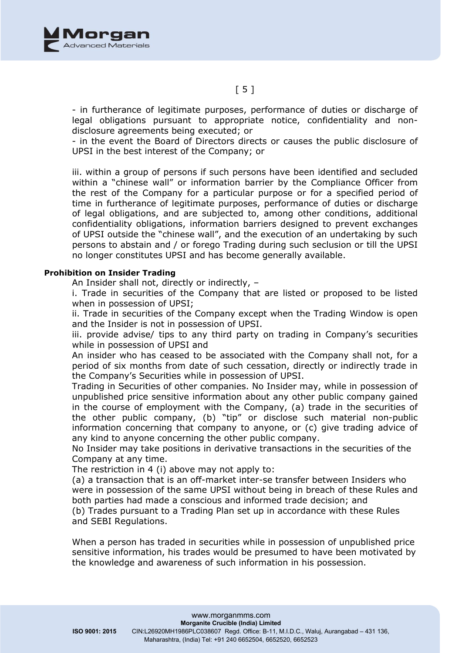

- in furtherance of legitimate purposes, performance of duties or discharge of legal obligations pursuant to appropriate notice, confidentiality and nondisclosure agreements being executed; or

- in the event the Board of Directors directs or causes the public disclosure of UPSI in the best interest of the Company; or

iii. within a group of persons if such persons have been identified and secluded within a "chinese wall" or information barrier by the Compliance Officer from the rest of the Company for a particular purpose or for a specified period of time in furtherance of legitimate purposes, performance of duties or discharge of legal obligations, and are subjected to, among other conditions, additional confidentiality obligations, information barriers designed to prevent exchanges of UPSI outside the "chinese wall", and the execution of an undertaking by such persons to abstain and / or forego Trading during such seclusion or till the UPSI no longer constitutes UPSI and has become generally available.

#### **Prohibition on Insider Trading**

An Insider shall not, directly or indirectly, –

i. Trade in securities of the Company that are listed or proposed to be listed when in possession of UPSI;

ii. Trade in securities of the Company except when the Trading Window is open and the Insider is not in possession of UPSI.

iii. provide advise/ tips to any third party on trading in Company's securities while in possession of UPSI and

An insider who has ceased to be associated with the Company shall not, for a period of six months from date of such cessation, directly or indirectly trade in the Company's Securities while in possession of UPSI.

Trading in Securities of other companies. No Insider may, while in possession of unpublished price sensitive information about any other public company gained in the course of employment with the Company, (a) trade in the securities of the other public company, (b) "tip" or disclose such material non-public information concerning that company to anyone, or (c) give trading advice of any kind to anyone concerning the other public company.

No Insider may take positions in derivative transactions in the securities of the Company at any time.

The restriction in 4 (i) above may not apply to:

(a) a transaction that is an off-market inter-se transfer between Insiders who were in possession of the same UPSI without being in breach of these Rules and both parties had made a conscious and informed trade decision; and (b) Trades pursuant to a Trading Plan set up in accordance with these Rules

and SEBI Regulations.

When a person has traded in securities while in possession of unpublished price sensitive information, his trades would be presumed to have been motivated by the knowledge and awareness of such information in his possession.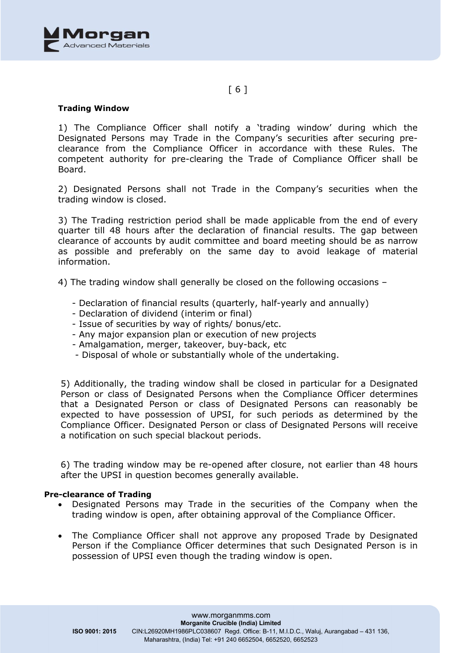

### [ 6 ]

### **Trading Window**

1) The Compliance Officer shall notify a 'trading window' during which the Designated Persons may Trade in the Company's securities after securing preclearance from the Compliance Officer in accordance with these Rules. The competent authority for pre-clearing the Trade of Compliance Officer shall be Board.

2) Designated Persons shall not Trade in the Company's securities when the trading window is closed.

3) The Trading restriction period shall be made applicable from the end of every quarter till 48 hours after the declaration of financial results. The gap between clearance of accounts by audit committee and board meeting should be as narrow as possible and preferably on the same day to avoid leakage of material information.

4) The trading window shall generally be closed on the following occasions –

- Declaration of financial results (quarterly, half-yearly and annually)
- Declaration of dividend (interim or final)
- Issue of securities by way of rights/ bonus/etc.
- Any major expansion plan or execution of new projects
- Amalgamation, merger, takeover, buy-back, etc
- Disposal of whole or substantially whole of the undertaking.

5) Additionally, the trading window shall be closed in particular for a Designated Person or class of Designated Persons when the Compliance Officer determines that a Designated Person or class of Designated Persons can reasonably be expected to have possession of UPSI, for such periods as determined by the Compliance Officer. Designated Person or class of Designated Persons will receive a notification on such special blackout periods.

6) The trading window may be re-opened after closure, not earlier than 48 hours after the UPSI in question becomes generally available.

#### **Pre-clearance of Trading**

- Designated Persons may Trade in the securities of the Company when the trading window is open, after obtaining approval of the Compliance Officer.
- The Compliance Officer shall not approve any proposed Trade by Designated Person if the Compliance Officer determines that such Designated Person is in possession of UPSI even though the trading window is open.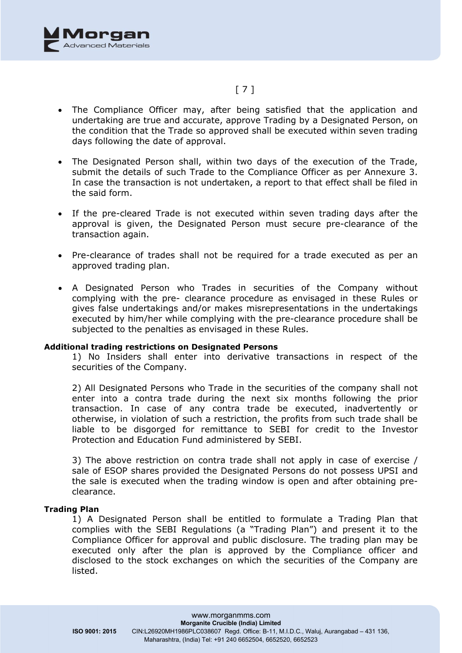

# [ 7 ]

- The Compliance Officer may, after being satisfied that the application and undertaking are true and accurate, approve Trading by a Designated Person, on the condition that the Trade so approved shall be executed within seven trading days following the date of approval.
- The Designated Person shall, within two days of the execution of the Trade, submit the details of such Trade to the Compliance Officer as per Annexure 3. In case the transaction is not undertaken, a report to that effect shall be filed in the said form.
- If the pre-cleared Trade is not executed within seven trading days after the approval is given, the Designated Person must secure pre-clearance of the transaction again.
- Pre-clearance of trades shall not be required for a trade executed as per an approved trading plan.
- A Designated Person who Trades in securities of the Company without complying with the pre- clearance procedure as envisaged in these Rules or gives false undertakings and/or makes misrepresentations in the undertakings executed by him/her while complying with the pre-clearance procedure shall be subjected to the penalties as envisaged in these Rules.

#### **Additional trading restrictions on Designated Persons**

1) No Insiders shall enter into derivative transactions in respect of the securities of the Company.

2) All Designated Persons who Trade in the securities of the company shall not enter into a contra trade during the next six months following the prior transaction. In case of any contra trade be executed, inadvertently or otherwise, in violation of such a restriction, the profits from such trade shall be liable to be disgorged for remittance to SEBI for credit to the Investor Protection and Education Fund administered by SEBI.

3) The above restriction on contra trade shall not apply in case of exercise / sale of ESOP shares provided the Designated Persons do not possess UPSI and the sale is executed when the trading window is open and after obtaining preclearance.

#### **Trading Plan**

1) A Designated Person shall be entitled to formulate a Trading Plan that complies with the SEBI Regulations (a "Trading Plan") and present it to the Compliance Officer for approval and public disclosure. The trading plan may be executed only after the plan is approved by the Compliance officer and disclosed to the stock exchanges on which the securities of the Company are listed.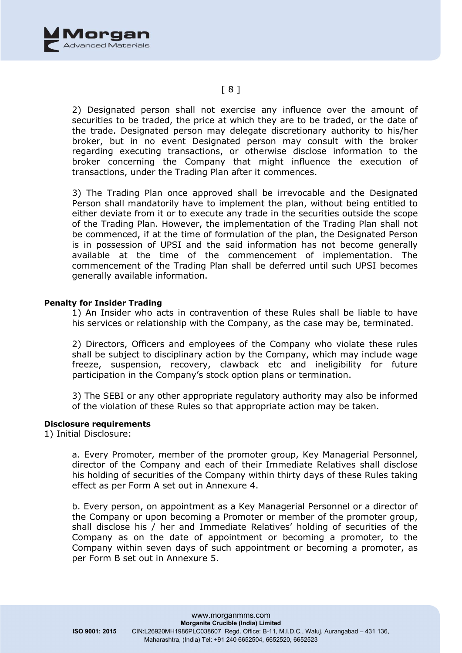

### [ 8 ]

2) Designated person shall not exercise any influence over the amount of securities to be traded, the price at which they are to be traded, or the date of the trade. Designated person may delegate discretionary authority to his/her broker, but in no event Designated person may consult with the broker regarding executing transactions, or otherwise disclose information to the broker concerning the Company that might influence the execution of transactions, under the Trading Plan after it commences.

3) The Trading Plan once approved shall be irrevocable and the Designated Person shall mandatorily have to implement the plan, without being entitled to either deviate from it or to execute any trade in the securities outside the scope of the Trading Plan. However, the implementation of the Trading Plan shall not be commenced, if at the time of formulation of the plan, the Designated Person is in possession of UPSI and the said information has not become generally available at the time of the commencement of implementation. The commencement of the Trading Plan shall be deferred until such UPSI becomes generally available information.

#### **Penalty for Insider Trading**

1) An Insider who acts in contravention of these Rules shall be liable to have his services or relationship with the Company, as the case may be, terminated.

2) Directors, Officers and employees of the Company who violate these rules shall be subject to disciplinary action by the Company, which may include wage freeze, suspension, recovery, clawback etc and ineligibility for future participation in the Company's stock option plans or termination.

3) The SEBI or any other appropriate regulatory authority may also be informed of the violation of these Rules so that appropriate action may be taken.

#### **Disclosure requirements**

1) Initial Disclosure:

a. Every Promoter, member of the promoter group, Key Managerial Personnel, director of the Company and each of their Immediate Relatives shall disclose his holding of securities of the Company within thirty days of these Rules taking effect as per Form A set out in Annexure 4.

b. Every person, on appointment as a Key Managerial Personnel or a director of the Company or upon becoming a Promoter or member of the promoter group, shall disclose his / her and Immediate Relatives' holding of securities of the Company as on the date of appointment or becoming a promoter, to the Company within seven days of such appointment or becoming a promoter, as per Form B set out in Annexure 5.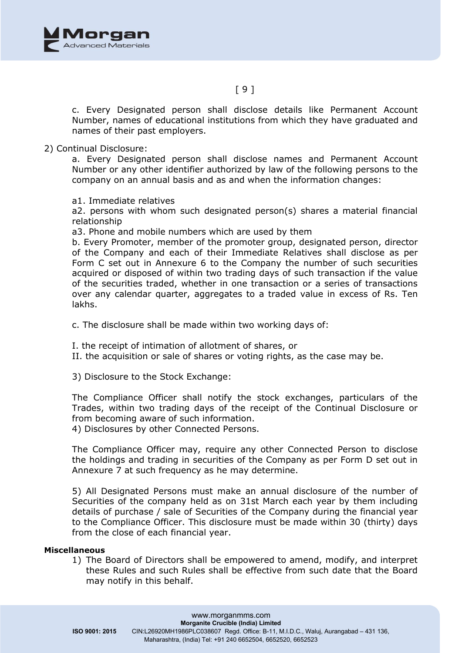

c. Every Designated person shall disclose details like Permanent Account Number, names of educational institutions from which they have graduated and names of their past employers.

### 2) Continual Disclosure:

a. Every Designated person shall disclose names and Permanent Account Number or any other identifier authorized by law of the following persons to the company on an annual basis and as and when the information changes:

a1. Immediate relatives

a2. persons with whom such designated person(s) shares a material financial relationship

a3. Phone and mobile numbers which are used by them

b. Every Promoter, member of the promoter group, designated person, director of the Company and each of their Immediate Relatives shall disclose as per Form C set out in Annexure 6 to the Company the number of such securities acquired or disposed of within two trading days of such transaction if the value of the securities traded, whether in one transaction or a series of transactions over any calendar quarter, aggregates to a traded value in excess of Rs. Ten lakhs.

c. The disclosure shall be made within two working days of:

I. the receipt of intimation of allotment of shares, or

II. the acquisition or sale of shares or voting rights, as the case may be.

3) Disclosure to the Stock Exchange:

The Compliance Officer shall notify the stock exchanges, particulars of the Trades, within two trading days of the receipt of the Continual Disclosure or from becoming aware of such information.

4) Disclosures by other Connected Persons.

The Compliance Officer may, require any other Connected Person to disclose the holdings and trading in securities of the Company as per Form D set out in Annexure 7 at such frequency as he may determine.

5) All Designated Persons must make an annual disclosure of the number of Securities of the company held as on 31st March each year by them including details of purchase / sale of Securities of the Company during the financial year to the Compliance Officer. This disclosure must be made within 30 (thirty) days from the close of each financial year.

#### **Miscellaneous**

1) The Board of Directors shall be empowered to amend, modify, and interpret these Rules and such Rules shall be effective from such date that the Board may notify in this behalf.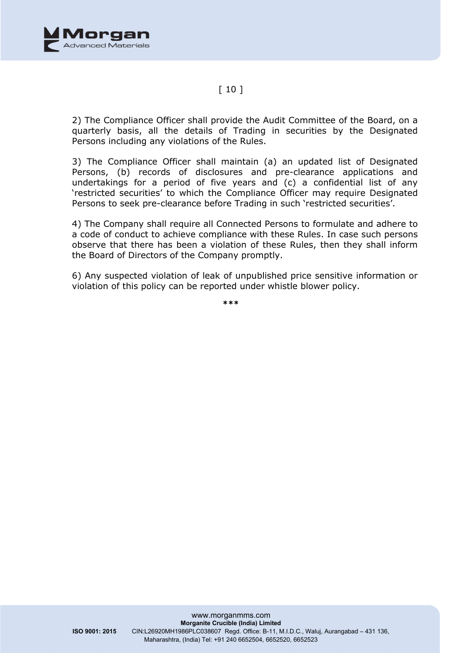

### $[10]$

2) The Compliance Officer shall provide the Audit Committee of the Board, on a quarterly basis, all the details of Trading in securities by the Designated Persons including any violations of the Rules.

3) The Compliance Officer shall maintain (a) an updated list of Designated Persons, (b) records of disclosures and pre-clearance applications and undertakings for a period of five years and (c) a confidential list of any 'restricted securities' to which the Compliance Officer may require Designated Persons to seek pre-clearance before Trading in such 'restricted securities'.

4) The Company shall require all Connected Persons to formulate and adhere to a code of conduct to achieve compliance with these Rules. In case such persons observe that there has been a violation of these Rules, then they shall inform the Board of Directors of the Company promptly.

6) Any suspected violation of leak of unpublished price sensitive information or violation of this policy can be reported under whistle blower policy.

**\*\*\***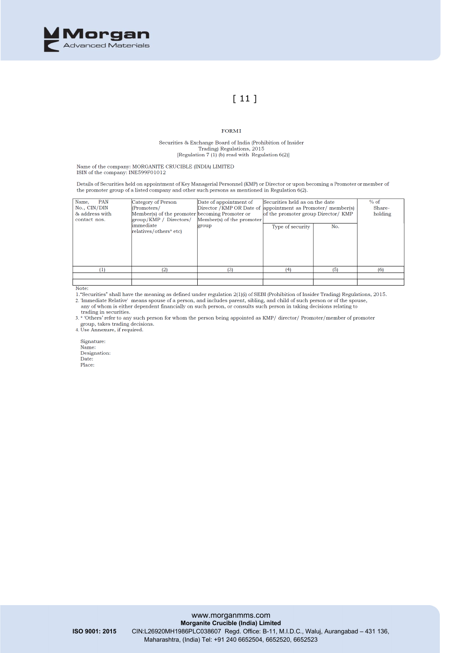

# $[11]$

#### FORMI

Securities & Exchange Board of India (Prohibition of Insider<br>Trading) Regulations, 2015<br>[Regulation 7 (1) (b) read with Regulation 6(2)]

Name of the company: MORGANITE CRUCIBLE (INDIA) LIMITED ISIN of the company: INE599F01012

Details of Securities held on appointment of Key Managerial Personnel (KMP) or Director or upon becoming a Promoter or member of<br>the promoter group of a listed company and other such persons as mentioned in Regulation 6(2)

| Name,<br>PAN<br>No., CIN/DIN<br>& address with<br>contact nos. | Category of Person<br>(Promoters/<br>Member(s) of the promoter becoming Promoter or<br>$\gamma$ / KMP / Directors | Date of appointment of<br>Member(s) of the promoter | Securities held as on the date<br>Director / KMP OR Date of appointment as Promoter/ member(s)<br>of the promoter group Director/KMP |     | % of<br>Share-<br>holding |
|----------------------------------------------------------------|-------------------------------------------------------------------------------------------------------------------|-----------------------------------------------------|--------------------------------------------------------------------------------------------------------------------------------------|-----|---------------------------|
|                                                                | $\lim$ mediate<br>relatives/others* etc)                                                                          | group                                               | Type of security                                                                                                                     | No. |                           |
| (1)                                                            | (2)                                                                                                               | (3)                                                 | (4)                                                                                                                                  | (5) | (6)                       |
|                                                                |                                                                                                                   |                                                     |                                                                                                                                      |     |                           |
|                                                                |                                                                                                                   |                                                     |                                                                                                                                      |     |                           |

Note:

Note:<br>1."Securities" shall have the meaning as defined under regulation 2(1)(i) of SEBI (Prohibition of Insider Trading) Regulations, 2015.<br>2. 'Immediate Relative' means spouse of a person, and includes parent, sibling, an

any of whom is either dependent financially on such person, or consults such person in taking decisions relating to trading in securities.

3. \* Others' refer to any such person for whom the person being appointed as KMP/ director/ Promoter/member of promoter group, takes trading decisions.<br>4. Use Annexure, if required.

Signature: Name:<br>Designation: Date: Place: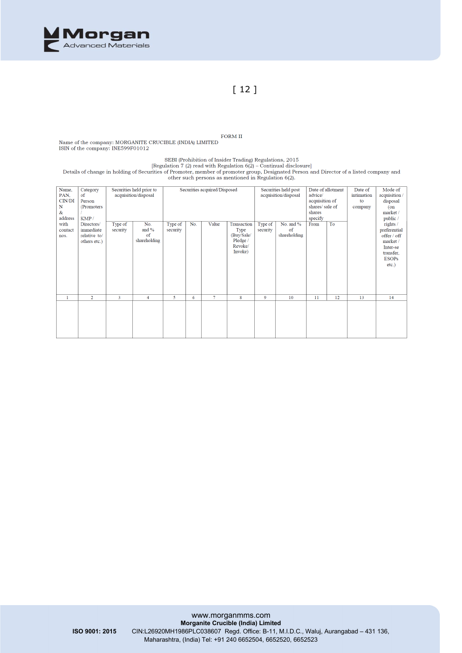

## [ 12 ]

FORM II Name of the company: MORGANITE CRUCIBLE (INDIA) LIMITED ISIN of the company: INE599F01012

SEBI (Prohibition of Insider Trading) Regulations, 2015 [Regulation 7 (2) read with Regulation  $6(2)$  – Continual disclosure]

Details of change in holding of Securities of Promoter, member of promoter group, Designated Person and Director of a listed company and<br>other such persons as mentioned in Regulation 6(2).

| Name,        | Category       |          | Securities held prior to | Securities acquired/Disposed |     |                      | Date of allotment<br>Securities held post |                | Date of      | Mode of        |            |              |              |
|--------------|----------------|----------|--------------------------|------------------------------|-----|----------------------|-------------------------------------------|----------------|--------------|----------------|------------|--------------|--------------|
| PAN,         | of             |          | acquisition/disposal     |                              |     | acquisition/disposal |                                           |                | advice/      |                | intimation | acquisition/ |              |
| CIN/DI       | Person         |          |                          |                              |     |                      |                                           | acquisition of |              | to             | disposal   |              |              |
| $\mathbf N$  | (Promoters)    |          |                          |                              |     |                      |                                           |                |              | shares/sale of |            | company      | $($ on       |
| &            |                |          |                          |                              |     |                      |                                           |                |              | shares         |            |              | market /     |
| address      | KMP/           |          |                          |                              |     |                      |                                           |                |              | specify        |            |              | public /     |
| with         | Directors/     | Type of  | No.                      | Type of                      | No. | Value                | Transaction                               | Type of        | No. and %    | From           | To         |              | rights /     |
| contact      | immediate      | security | and $%$                  | security                     |     |                      | Type                                      | security       | of           |                |            |              | preferential |
| nos.         | relative to/   |          | of                       |                              |     |                      | (Buy/Sale/                                |                | shareholding |                |            |              | offer / off  |
|              | others etc.)   |          | shareholding             |                              |     |                      | Pledge /                                  |                |              |                |            |              | market/      |
|              |                |          |                          |                              |     |                      | Revoke/                                   |                |              |                |            |              | Inter-se     |
|              |                |          |                          |                              |     |                      | Invoke)                                   |                |              |                |            |              | transfer,    |
|              |                |          |                          |                              |     |                      |                                           |                |              |                |            |              | <b>ESOPs</b> |
|              |                |          |                          |                              |     |                      |                                           |                |              |                |            |              | $etc.$ )     |
|              |                |          |                          |                              |     |                      |                                           |                |              |                |            |              |              |
|              |                |          |                          |                              |     |                      |                                           |                |              |                |            |              |              |
|              |                |          |                          |                              |     |                      |                                           |                |              |                |            |              |              |
|              |                |          |                          |                              |     |                      |                                           |                |              |                |            |              |              |
|              |                |          |                          |                              |     |                      |                                           |                |              |                |            |              |              |
| $\mathbf{1}$ | $\overline{2}$ | 3        | $\overline{4}$           | 5                            | 6   | $\overline{7}$       | 8                                         | 9              | 10           | 11             | 12         | 13           | 14           |
|              |                |          |                          |                              |     |                      |                                           |                |              |                |            |              |              |
|              |                |          |                          |                              |     |                      |                                           |                |              |                |            |              |              |
|              |                |          |                          |                              |     |                      |                                           |                |              |                |            |              |              |
|              |                |          |                          |                              |     |                      |                                           |                |              |                |            |              |              |
|              |                |          |                          |                              |     |                      |                                           |                |              |                |            |              |              |
|              |                |          |                          |                              |     |                      |                                           |                |              |                |            |              |              |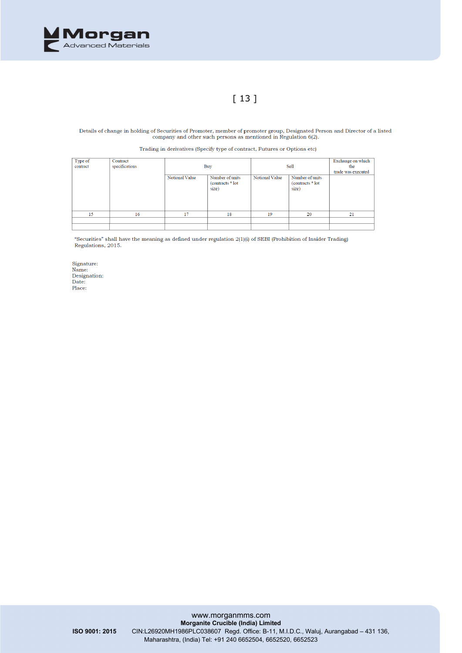

# [ 13 ]

Details of change in holding of Securities of Promoter, member of promoter group, Designated Person and Director of a listed company and other such persons as mentioned in Regulation 6(2).

Trading in derivatives (Specify type of contract, Futures or Options etc)

| Type of<br>contract | Contract<br>specifications | Buy            |                                               | Sell           |                                               | Exchange on which<br>the<br>trade was executed |
|---------------------|----------------------------|----------------|-----------------------------------------------|----------------|-----------------------------------------------|------------------------------------------------|
|                     |                            | Notional Value | Number of units<br>(contracts * lot)<br>size) | Notional Value | Number of units<br>(contracts * lot)<br>size) |                                                |
| 15                  | 16                         | 17             | 18                                            | 19             | 20                                            | 21                                             |
|                     |                            |                |                                               |                |                                               |                                                |
|                     |                            |                |                                               |                |                                               |                                                |

"Securities" shall have the meaning as defined under regulation 2(1)(i) of SEBI (Prohibition of Insider Trading) Regulations, 2015.

Signature: Name: name:<br>Designation:<br>Date: Place: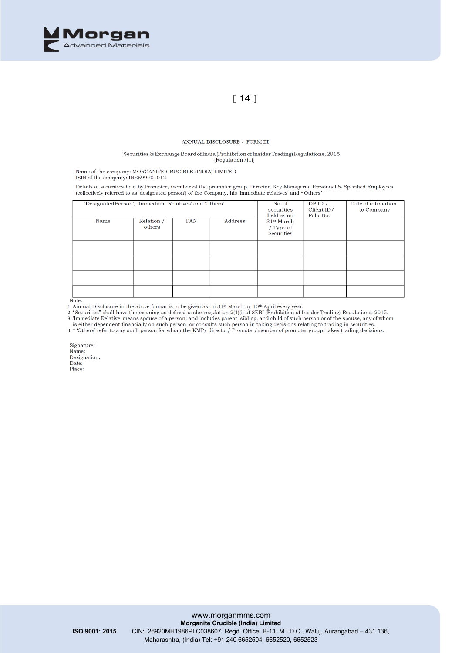

# $\lceil 14 \rceil$

#### ANNUAL DISCLOSURE - FORM III

#### Securities & Exchange Board of India (Prohibition of Insider Trading) Regulations, 2015  $\hat{[Reculation 7(1)]}$

Name of the company: MORGANITE CRUCIBLE (INDIA) LIMITED ISIN of the company: INE599F01012

Details of securities held by Promoter, member of the promoter group, Director, Key Managerial Personnel & Specified Employees (collectively referred to as 'designated person') of the Company, his 'immediate relatives' and \*Others'

| 'Designated Person', 'Immediate Relatives' and 'Others' |                      | No. of<br>securities<br>held as on | DPID /<br>Client $ID/$<br>Folio No. | Date of intimation<br>to Company                         |  |  |
|---------------------------------------------------------|----------------------|------------------------------------|-------------------------------------|----------------------------------------------------------|--|--|
| Name                                                    | Relation /<br>others | <b>PAN</b>                         | Address                             | 31 <sup>st</sup> March<br>/ Type of<br><b>Securities</b> |  |  |
|                                                         |                      |                                    |                                     |                                                          |  |  |
|                                                         |                      |                                    |                                     |                                                          |  |  |
|                                                         |                      |                                    |                                     |                                                          |  |  |
|                                                         |                      |                                    |                                     |                                                          |  |  |

Note:

1. Annual Disclosure in the above format is to be given as on  $31<sup>st</sup>$  March by  $10<sup>th</sup>$  April every year.<br>2. "Securities" shall have the meaning as defined under regulation  $2(1)(i)$  of SEBI (Prohibition of Insider

is either dependent financially on such person, or consults such person in taking decisions relating to trading in securities.<br>4. \* Others' refer to any such person for whom the KMP/ director/ Promoter/member of promoter g

Signature: Name: Designation: Date: Place: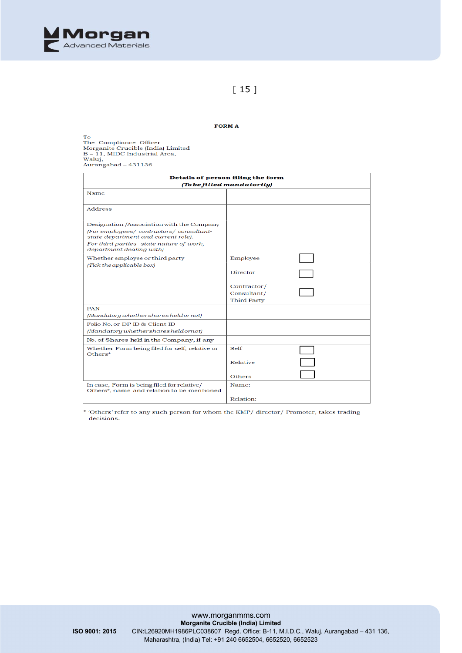

### $[15]$

#### FORM A

To<br>The Compliance Officer<br>Morganite Crucible (India) Limited<br>B – 11, MIDC Industrial Area,<br>Waluj, waiuj,<br>Aurangabad – 431136

| Details of person filing the form<br>(To be filled mandatorily)                                                                                                                                     |                                                                          |  |  |  |  |
|-----------------------------------------------------------------------------------------------------------------------------------------------------------------------------------------------------|--------------------------------------------------------------------------|--|--|--|--|
| Name                                                                                                                                                                                                |                                                                          |  |  |  |  |
| Address                                                                                                                                                                                             |                                                                          |  |  |  |  |
| Designation /Association with the Company<br>(For employees/ contractors/ consultant-<br>state department and current role).<br>For third parties-state nature of work,<br>department dealing with) |                                                                          |  |  |  |  |
| Whether employee or third party<br>(Tick the applicable box)                                                                                                                                        | Employee<br>Director<br>Contractor/<br>Consultant/<br><b>Third Party</b> |  |  |  |  |
| <b>PAN</b><br>(Mandatory whether shares held or not)                                                                                                                                                |                                                                          |  |  |  |  |
| Folio No. or DP ID & Client ID<br>(Mandatory whether shares heldornot)                                                                                                                              |                                                                          |  |  |  |  |
| No. of Shares held in the Company, if any                                                                                                                                                           |                                                                          |  |  |  |  |
| Whether Form being filed for self, relative or<br>$Others*$                                                                                                                                         | Self<br>Relative<br>Others                                               |  |  |  |  |
| In case, Form is being filed for relative/<br>Others*, name and relation to be mentioned                                                                                                            | Name:<br>Relation:                                                       |  |  |  |  |

\* 'Others' refer to any such person for whom the KMP/ director/ Promoter, takes trading decisions.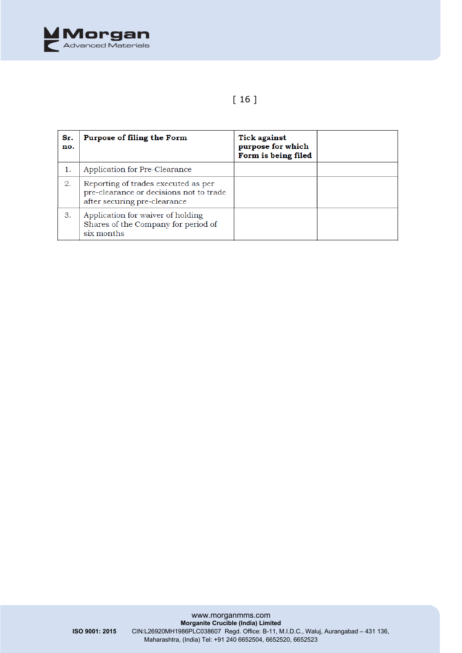

# [ 16 ]

| Sr.<br>no. | Purpose of filing the Form                                                                                     | <b>Tick against</b><br>purpose for which<br>Form is being filed |  |
|------------|----------------------------------------------------------------------------------------------------------------|-----------------------------------------------------------------|--|
| 1.         | Application for Pre-Clearance                                                                                  |                                                                 |  |
| 2.         | Reporting of trades executed as per<br>pre-clearance or decisions not to trade<br>after securing pre-clearance |                                                                 |  |
| З.         | Application for waiver of holding<br>Shares of the Company for period of<br>six months                         |                                                                 |  |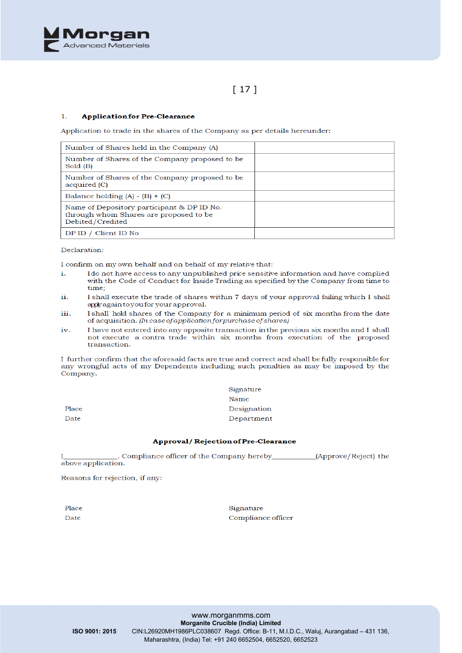

# $[17]$

#### $\overline{1}$ . **Application for Pre-Clearance**

Application to trade in the shares of the Company as per details hereunder:

| Number of Shares held in the Company (A)                                                                 |  |
|----------------------------------------------------------------------------------------------------------|--|
| Number of Shares of the Company proposed to be<br>Sold (B)                                               |  |
| Number of Shares of the Company proposed to be.<br>acquired (C)                                          |  |
| Balance holding $(A) - (B) + (C)$                                                                        |  |
| Name of Depository participant & DP ID No.<br>through whom Shares are proposed to be<br>Debited/Credited |  |
| DP ID / Client ID No                                                                                     |  |

Declaration:

I confirm on my own behalf and on behalf of my relative that:

- Ido not have access to any unpublished price sensitive information and have complied i. with the Code of Conduct for Inside Trading as specified by the Company from time to time;
- ii. I shall execute the trade of shares within 7 days of your approval failing which I shall apply again to you for your approval.
- iii. I shall hold shares of the Company for a minimum period of six months from the date of acquisition. (In case of application for purchase of shares)
- I have not entered into any opposite transaction in the previous six months and I shall  $i\mathbf{x}$ not execute a contra trade within six months from execution of the proposed transaction.

I further confirm that the aforesaid facts are true and correct and shall be fully responsible for any wrongful acts of my Dependents including such penalties as may be imposed by the Company.

|       | Signature   |
|-------|-------------|
|       | Name        |
| Place | Designation |
| Date  | Department  |
|       |             |

#### Approval/Rejection of Pre-Clearance

Compliance officer of the Company hereby\_\_\_\_\_\_\_\_\_\_\_\_(Approve/Reject) the above application.

Reasons for rejection, if any:

Place Date

Signature Compliance officer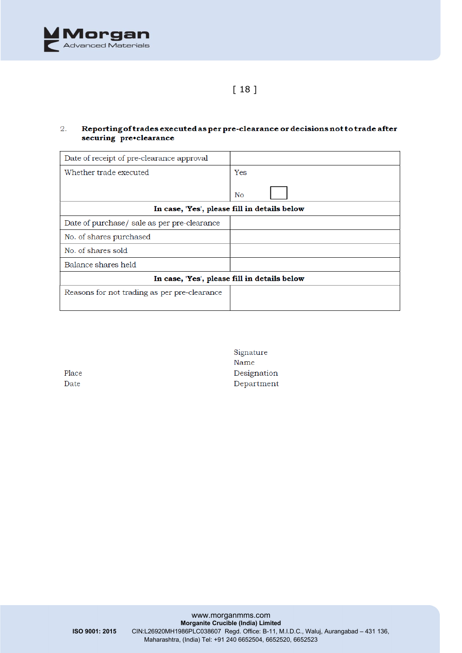

## [ 18 ]

#### $\overline{2}$ . Reporting of trades executed as per pre-clearance or decisions not to trade after securing pre•clearance

| Date of receipt of pre-clearance approval    |     |
|----------------------------------------------|-----|
| Whether trade executed                       | Yes |
|                                              | No  |
| In case, 'Yes', please fill in details below |     |
| Date of purchase/ sale as per pre-clearance  |     |
| No. of shares purchased                      |     |
| No. of shares sold                           |     |
| Balance shares held                          |     |
| In case, 'Yes', please fill in details below |     |
| Reasons for not trading as per pre-clearance |     |

| ×<br>г |
|--------|
|        |

Signature Name Designation Department